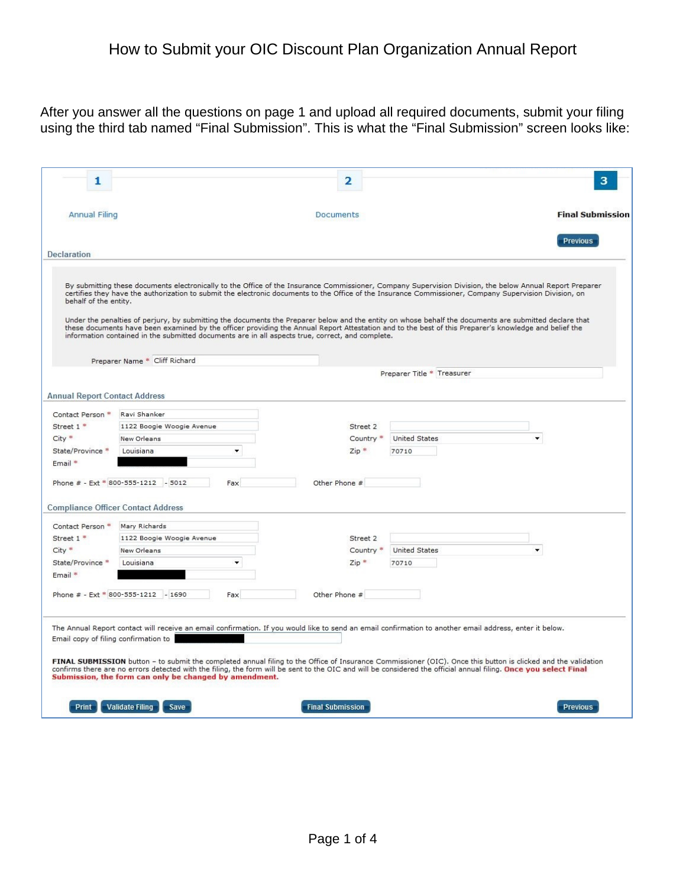After you answer all the questions on page 1 and upload all required documents, submit your filing using the third tab named "Final Submission". This is what the "Final Submission" screen looks like:

| 1                                    |                                                                                                                                                                                                                                                                                                                                                                                                                                                                              | 2                       |                            |                         |
|--------------------------------------|------------------------------------------------------------------------------------------------------------------------------------------------------------------------------------------------------------------------------------------------------------------------------------------------------------------------------------------------------------------------------------------------------------------------------------------------------------------------------|-------------------------|----------------------------|-------------------------|
| <b>Annual Filing</b>                 |                                                                                                                                                                                                                                                                                                                                                                                                                                                                              | Documents               |                            | <b>Final Submission</b> |
| Declaration                          |                                                                                                                                                                                                                                                                                                                                                                                                                                                                              |                         |                            | <b>Previous</b>         |
| behalf of the entity.                | By submitting these documents electronically to the Office of the Insurance Commissioner, Company Supervision Division, the below Annual Report Preparer<br>certifies they have the authorization to submit the electronic documents to the Office of the Insurance Commissioner, Company Supervision Division, on<br>Under the penalties of perjury, by submitting the documents the Preparer below and the entity on whose behalf the documents are submitted declare that |                         |                            |                         |
|                                      | these documents have been examined by the officer providing the Annual Report Attestation and to the best of this Preparer's knowledge and belief the<br>information contained in the submitted documents are in all aspects true, correct, and complete.                                                                                                                                                                                                                    |                         |                            |                         |
|                                      | Preparer Name * Cliff Richard                                                                                                                                                                                                                                                                                                                                                                                                                                                |                         | Preparer Title * Treasurer |                         |
|                                      |                                                                                                                                                                                                                                                                                                                                                                                                                                                                              |                         |                            |                         |
| <b>Annual Report Contact Address</b> |                                                                                                                                                                                                                                                                                                                                                                                                                                                                              |                         |                            |                         |
| Contact Person *                     | Ravi Shanker                                                                                                                                                                                                                                                                                                                                                                                                                                                                 |                         |                            |                         |
| Street 1 <sup>*</sup>                | 1122 Boogie Woogie Avenue                                                                                                                                                                                                                                                                                                                                                                                                                                                    | Street 2                |                            |                         |
| $City *$                             | New Orleans                                                                                                                                                                                                                                                                                                                                                                                                                                                                  | Country <sup>*</sup>    | <b>United States</b>       | ۰                       |
| State/Province *                     | Louisiana<br>$\overline{\phantom{a}}$                                                                                                                                                                                                                                                                                                                                                                                                                                        | $Zip *$                 | 70710                      |                         |
| Email *                              |                                                                                                                                                                                                                                                                                                                                                                                                                                                                              |                         |                            |                         |
|                                      | Phone # - Ext * 800-555-1212 - 5012<br>Fax                                                                                                                                                                                                                                                                                                                                                                                                                                   | Other Phone #           |                            |                         |
|                                      | <b>Compliance Officer Contact Address</b>                                                                                                                                                                                                                                                                                                                                                                                                                                    |                         |                            |                         |
| Contact Person *                     | Mary Richards                                                                                                                                                                                                                                                                                                                                                                                                                                                                |                         |                            |                         |
| Street 1 <sup>*</sup>                | 1122 Boogie Woogie Avenue                                                                                                                                                                                                                                                                                                                                                                                                                                                    | Street 2                |                            |                         |
| City <sup>*</sup>                    | New Orleans                                                                                                                                                                                                                                                                                                                                                                                                                                                                  | Country <sup>*</sup>    | <b>United States</b>       |                         |
| State/Province *                     | Louisiana<br>٠                                                                                                                                                                                                                                                                                                                                                                                                                                                               | $Zip *$                 | 70710                      |                         |
| Email *                              |                                                                                                                                                                                                                                                                                                                                                                                                                                                                              |                         |                            |                         |
|                                      | Phone # - Ext * 800-555-1212 - 1690<br>Fax                                                                                                                                                                                                                                                                                                                                                                                                                                   | Other Phone #           |                            |                         |
| Email copy of filing confirmation to | The Annual Report contact will receive an email confirmation. If you would like to send an email confirmation to another email address, enter it below.                                                                                                                                                                                                                                                                                                                      |                         |                            |                         |
|                                      | FINAL SUBMISSION button - to submit the completed annual filing to the Office of Insurance Commissioner (OIC). Once this button is clicked and the validation<br>confirms there are no errors detected with the filing, the form will be sent to the OIC and will be considered the official annual filing. Once you select Final<br>Submission, the form can only be changed by amendment.                                                                                  |                         |                            |                         |
| Print                                | <b>Validate Filing</b><br>Save                                                                                                                                                                                                                                                                                                                                                                                                                                               | <b>Final Submission</b> |                            | <b>Previous</b>         |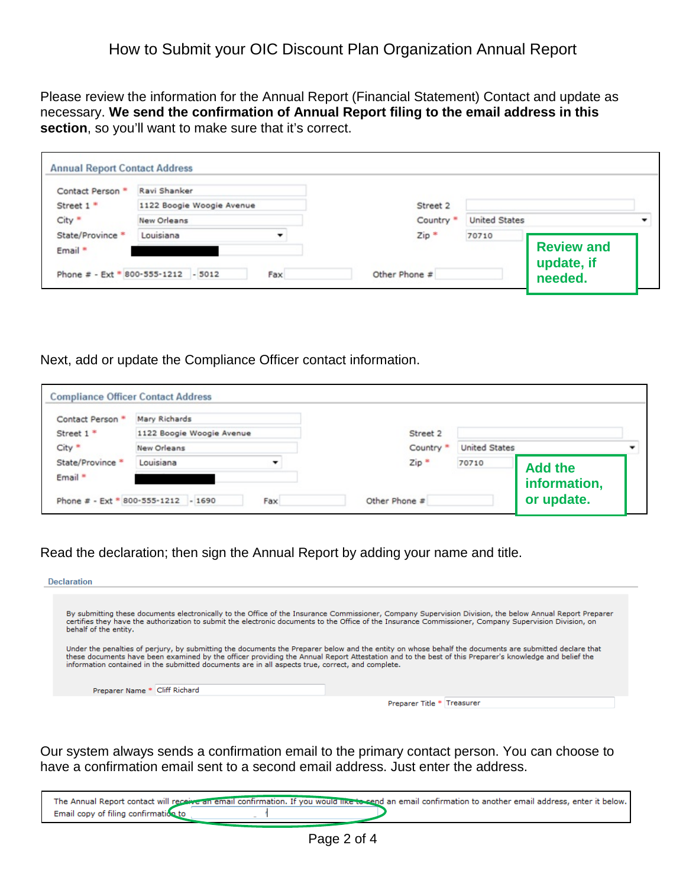Please review the information for the Annual Report (Financial Statement) Contact and update as necessary. **We send the confirmation of Annual Report filing to the email address in this**  section, so you'll want to make sure that it's correct.

| Contact Person *  | Ravi Shanker                        |     |                      |                      |                       |  |
|-------------------|-------------------------------------|-----|----------------------|----------------------|-----------------------|--|
| Street 1 *        | 1122 Boogie Woogie Avenue           |     | Street 2             |                      |                       |  |
| City <sup>*</sup> | <b>New Orleans</b>                  |     | Country <sup>®</sup> | <b>United States</b> |                       |  |
| State/Province *  | Louisiana                           |     | $Zip *$              | 70710                |                       |  |
| Email *           |                                     |     |                      |                      | <b>Review and</b>     |  |
|                   | Phone # - Ext * 800-555-1212 - 5012 | Fax | Other Phone #        |                      | update, if<br>needed. |  |

Next, add or update the Compliance Officer contact information.

| Contact Person * | Mary Richards             |  |                      |                      |                |  |
|------------------|---------------------------|--|----------------------|----------------------|----------------|--|
| Street 1 *       | 1122 Boogie Woogie Avenue |  | Street 2             |                      |                |  |
| City *           | New Orleans               |  | Country <sup>®</sup> | <b>United States</b> |                |  |
| State/Province * | Louisiana                 |  | $Zip*$               | 70710                | <b>Add the</b> |  |
| Email *          |                           |  |                      |                      | information,   |  |

Read the declaration; then sign the Annual Report by adding your name and title.

| <b>Declaration</b>                                                                               |                                                                                                                                                                                                                                                                                                                    |
|--------------------------------------------------------------------------------------------------|--------------------------------------------------------------------------------------------------------------------------------------------------------------------------------------------------------------------------------------------------------------------------------------------------------------------|
| behalf of the entity.                                                                            | By submitting these documents electronically to the Office of the Insurance Commissioner, Company Supervision Division, the below Annual Report Preparer<br>certifies they have the authorization to submit the electronic documents to the Office of the Insurance Commissioner, Company Supervision Division, on |
| information contained in the submitted documents are in all aspects true, correct, and complete. | Under the penalties of perjury, by submitting the documents the Preparer below and the entity on whose behalf the documents are submitted declare that<br>these documents have been examined by the officer providing the Annual Report Attestation and to the best of this Preparer's knowledge and belief the    |
| Preparer Name * Cliff Richard                                                                    |                                                                                                                                                                                                                                                                                                                    |
|                                                                                                  |                                                                                                                                                                                                                                                                                                                    |

Our system always sends a confirmation email to the primary contact person. You can choose to have a confirmation email sent to a second email address. Just enter the address.

|                                      | The Annual Report contact will receive an email confirmation. If you would like to send an email confirmation to another email address, enter it below. |  |
|--------------------------------------|---------------------------------------------------------------------------------------------------------------------------------------------------------|--|
| Email copy of filing confirmation to |                                                                                                                                                         |  |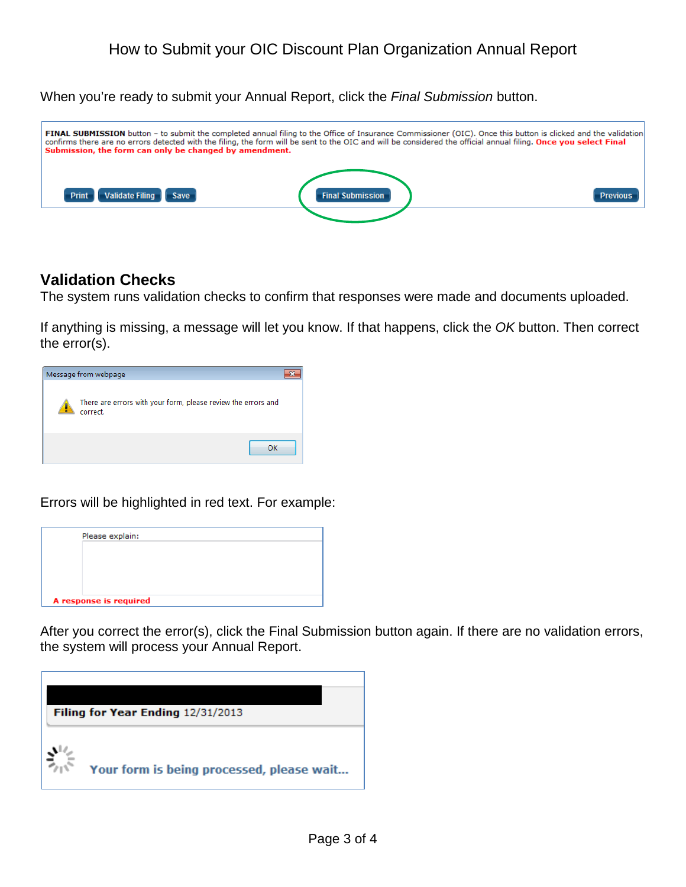When you're ready to submit your Annual Report, click the *Final Submission* button.



## **Validation Checks**

The system runs validation checks to confirm that responses were made and documents uploaded.

If anything is missing, a message will let you know. If that happens, click the *OK* button. Then correct the error(s).



Errors will be highlighted in red text. For example:

|  | Please explain:        |  |  |  |
|--|------------------------|--|--|--|
|  |                        |  |  |  |
|  |                        |  |  |  |
|  |                        |  |  |  |
|  | A response is required |  |  |  |

After you correct the error(s), click the Final Submission button again. If there are no validation errors, the system will process your Annual Report.